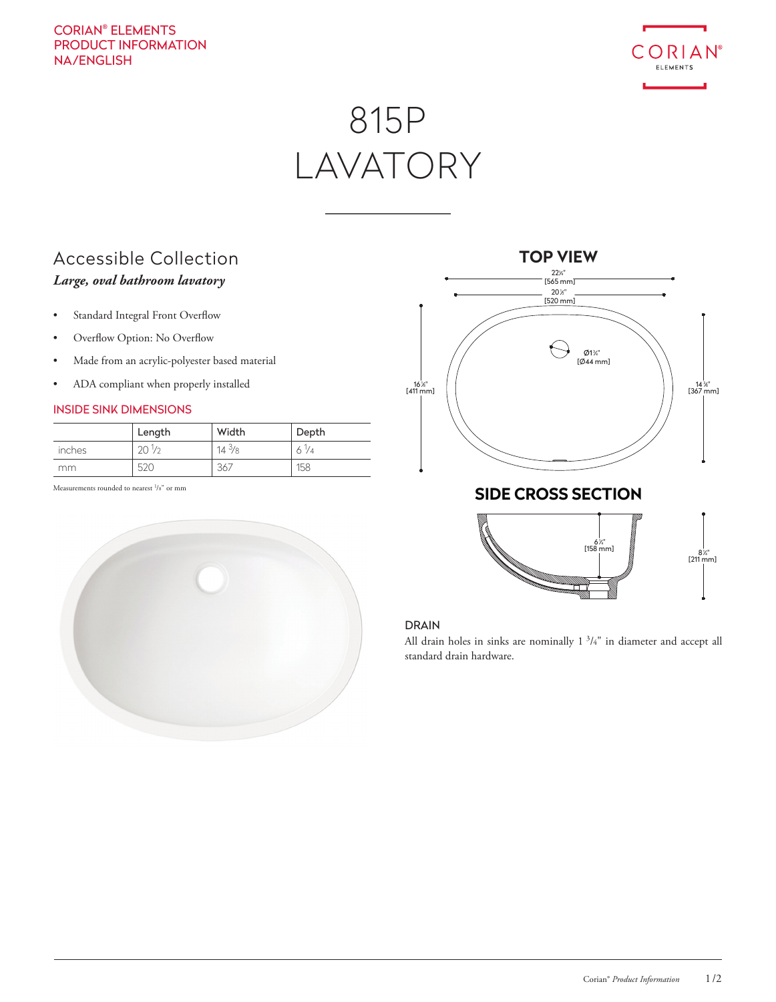# CORIAN® ELEMENTS PRODUCT INFORMATION NA/ENGLISH



# 815P LAVATORY

# Accessible Collection *Large, oval bathroom lavatory*

- Standard Integral Front Overflow
- Overflow Option: No Overflow
- Made from an acrylic-polyester based material
- ADA compliant when properly installed

## INSIDE SINK DIMENSIONS

|        | Length          | Width           | Depth |
|--------|-----------------|-----------------|-------|
| inches | $20\frac{1}{2}$ | $14\frac{3}{8}$ | -74   |
| mm     | 520             | 367             | 158   |

Measurements rounded to nearest <sup>1</sup>/8" or mm







### DRAIN

All drain holes in sinks are nominally  $1 \frac{3}{4}$ " in diameter and accept all standard drain hardware.